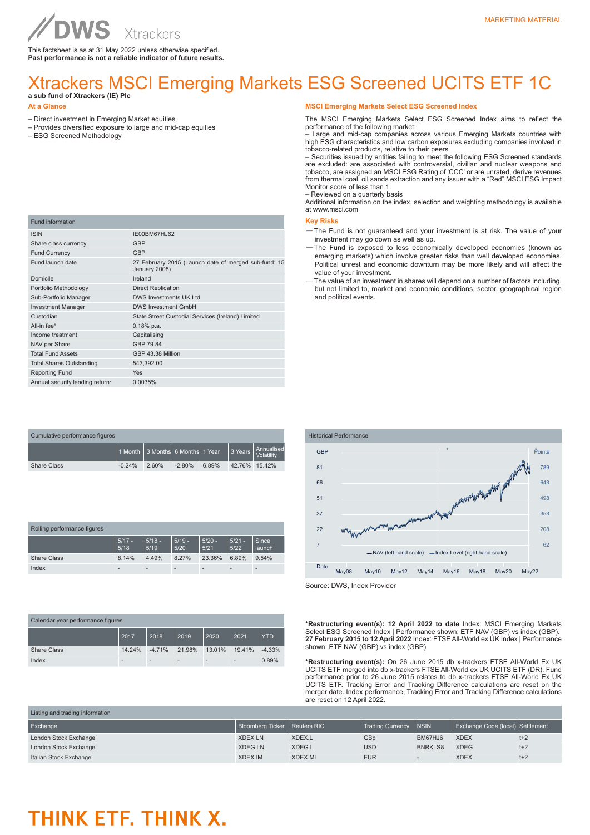This factsheet is as at 31 May 2022 unless otherwise specified. **Past performance is not a reliable indicator of future results.**

## Xtrackers MSCI Emerging Markets ESG Screened UCITS ETF 1C

### **a sub fund of Xtrackers (IE) Plc**

**WS** 

#### **At a Glance**

- Direct investment in Emerging Market equities
- Provides diversified exposure to large and mid-cap equities
- ESG Screened Methodology

| <b>Fund information</b>                     |                                                                       |
|---------------------------------------------|-----------------------------------------------------------------------|
| <b>ISIN</b>                                 | IE00BM67HJ62                                                          |
| Share class currency                        | <b>GBP</b>                                                            |
| <b>Fund Currency</b>                        | <b>GBP</b>                                                            |
| Fund launch date                            | 27 February 2015 (Launch date of merged sub-fund: 15<br>January 2008) |
| Domicile                                    | Ireland                                                               |
| Portfolio Methodology                       | <b>Direct Replication</b>                                             |
| Sub-Portfolio Manager                       | DWS Investments UK Ltd                                                |
| <b>Investment Manager</b>                   | <b>DWS Investment GmbH</b>                                            |
| Custodian                                   | State Street Custodial Services (Ireland) Limited                     |
| All-in fee <sup>1</sup>                     | $0.18%$ p.a.                                                          |
| Income treatment                            | Capitalising                                                          |
| NAV per Share                               | GBP 79.84                                                             |
| <b>Total Fund Assets</b>                    | GBP 43.38 Million                                                     |
| <b>Total Shares Outstanding</b>             | 543,392.00                                                            |
| <b>Reporting Fund</b>                       | <b>Yes</b>                                                            |
| Annual security lending return <sup>2</sup> | 0.0035%                                                               |

| Cumulative performance figures |                                        |       |          |       |               |                          |
|--------------------------------|----------------------------------------|-------|----------|-------|---------------|--------------------------|
|                                | l 1 Month I 3 MonthsI 6 MonthsI 1 Year |       |          |       | ∣ 3 Years I   | Annualised<br>Volatility |
| <b>Share Class</b>             | $-0.24%$                               | 2.60% | $-2.80%$ | 6.89% | 42.76% 15.42% |                          |

| Rolling performance figures |                          |                          |                  |                          |                  |                 |  |
|-----------------------------|--------------------------|--------------------------|------------------|--------------------------|------------------|-----------------|--|
|                             | $5/17 -$<br>5/18         | $5/18 -$<br>5/19         | $5/19 -$<br>5/20 | $5/20 -$<br>5/21         | $5/21 -$<br>5/22 | Since<br>launch |  |
| <b>Share Class</b>          | 8.14%                    | 4.49%                    | 8.27%            | 23.36%                   | 6.89%            | 9.54%           |  |
| Index                       | $\overline{\phantom{a}}$ | $\overline{\phantom{a}}$ |                  | $\overline{\phantom{a}}$ |                  |                 |  |

| Calendar year performance figures |        |          |        |                              |                          |            |  |
|-----------------------------------|--------|----------|--------|------------------------------|--------------------------|------------|--|
|                                   | 2017   | 2018     | 2019   | 2020                         | 2021                     | <b>YTD</b> |  |
| <b>Share Class</b>                | 14.24% | $-4.71%$ | 21.98% | 13.01%                       | 19.41%                   | $-4.33%$   |  |
| Index                             | -      |          |        | $\qquad \qquad \blacksquare$ | $\overline{\phantom{a}}$ | 0.89%      |  |

#### **MSCI Emerging Markets Select ESG Screened Index**

The MSCI Emerging Markets Select ESG Screened Index aims to reflect the performance of the following market:

– Large and mid-cap companies across various Emerging Markets countries with high ESG characteristics and low carbon exposures excluding companies involved in tobacco-related products, relative to their peers

– Securities issued by entities failing to meet the following ESG Screened standards are excluded: are associated with controversial, civilian and nuclear weapons and tobacco, are assigned an MSCI ESG Rating of 'CCC' or are unrated, derive revenues from thermal coal, oil sands extraction and any issuer with a "Red" MSCI ESG Impact Monitor score of less than 1. – Reviewed on a quarterly basis

Additional information on the index, selection and weighting methodology is available at www.msci.com

#### **Key Risks**

- —The Fund is not guaranteed and your investment is at risk. The value of your investment may go down as well as up.
- —The Fund is exposed to less economically developed economies (known as emerging markets) which involve greater risks than well developed economies. Political unrest and economic downturn may be more likely and will affect the value of your investment.
- —The value of an investment in shares will depend on a number of factors including, but not limited to, market and economic conditions, sector, geographical region and political events.



Source: DWS, Index Provider

**\*Restructuring event(s): 12 April 2022 to date** Index: MSCI Emerging Markets Select ESG Screened Index | Performance shown: ETF NAV (GBP) vs index (GBP). **27 February 2015 to 12 April 2022** Index: FTSE All-World ex UK Index | Performance shown: ETF NAV (GBP) vs index (GBP)

**\*Restructuring event(s):** On 26 June 2015 db x-trackers FTSE All-World Ex UK UCITS ETF merged into db x-trackers FTSE All-World ex UK UCITS ETF (DR). Fund performance prior to 26 June 2015 relates to db x-trackers FTSE All-World Ex UK UCITS ETF. Tracking Error and Tracking Difference calculations are reset on the merger date. Index performance, Tracking Error and Tracking Difference calculations are reset on 12 April 2022.

| Liberig and adding information |                                |         |                  |                |                                  |       |  |
|--------------------------------|--------------------------------|---------|------------------|----------------|----------------------------------|-------|--|
| Exchange                       | Bloomberg Ticker   Reuters RIC |         | Trading Currency | <b>INSIN</b>   | Exchange Code (local) Settlement |       |  |
| London Stock Exchange          | <b>XDEX LN</b>                 | XDEX.L  | GB <sub>p</sub>  | BM67HJ6        | <b>XDEX</b>                      | $t+2$ |  |
| London Stock Exchange          | <b>XDEGLN</b>                  | XDEG.L  | <b>USD</b>       | <b>BNRKLS8</b> | <b>XDEG</b>                      | $t+2$ |  |
| Italian Stock Exchange         | <b>XDEX IM</b>                 | XDEX.MI | <b>EUR</b>       |                | <b>XDEX</b>                      | $t+2$ |  |

## THINK ETF. THINK X.

Listing and trading information